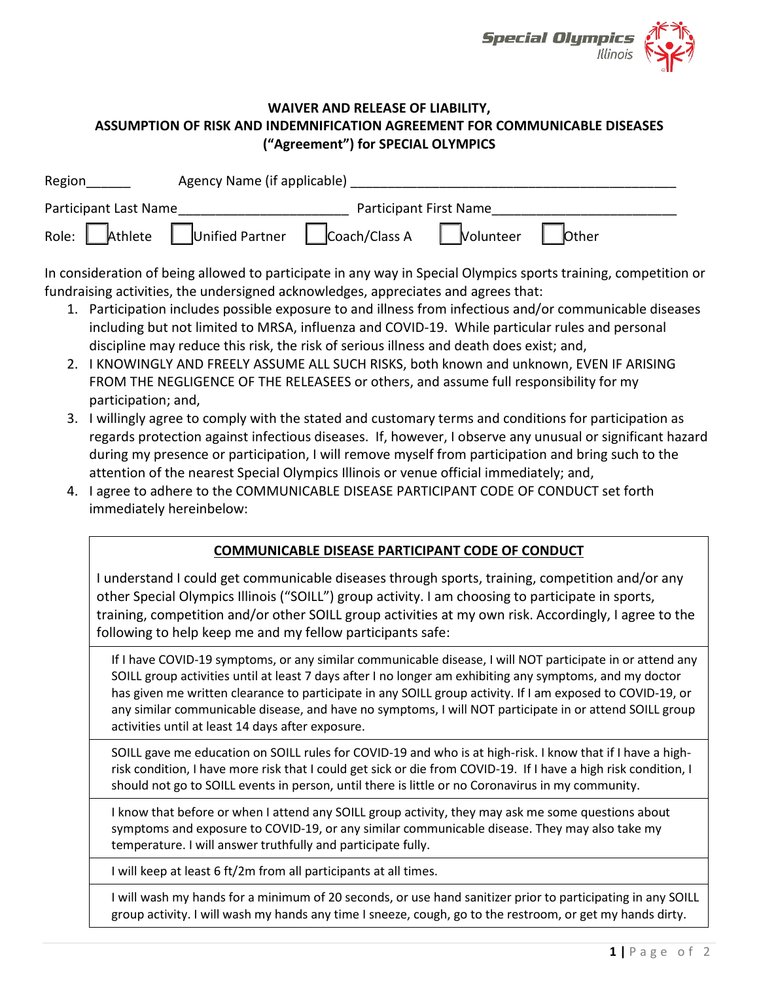

## **WAIVER AND RELEASE OF LIABILITY, ASSUMPTION OF RISK AND INDEMNIFICATION AGREEMENT FOR COMMUNICABLE DISEASES ("Agreement") for SPECIAL OLYMPICS**

| Region                        | Agency Name (if applicable) |                                                                                                          |                               |       |  |
|-------------------------------|-----------------------------|----------------------------------------------------------------------------------------------------------|-------------------------------|-------|--|
| Participant Last Name         |                             |                                                                                                          | <b>Participant First Name</b> |       |  |
| Role: Athlete Unified Partner |                             | $\begin{array}{ c c c c c }\n\hline\n\text{Coach/Class A} & \text{Nolunteer} & \overline{ } \end{array}$ |                               | bther |  |

In consideration of being allowed to participate in any way in Special Olympics sports training, competition or fundraising activities, the undersigned acknowledges, appreciates and agrees that:

- 1. Participation includes possible exposure to and illness from infectious and/or communicable diseases including but not limited to MRSA, influenza and COVID-19. While particular rules and personal discipline may reduce this risk, the risk of serious illness and death does exist; and,
- 2. I KNOWINGLY AND FREELY ASSUME ALL SUCH RISKS, both known and unknown, EVEN IF ARISING FROM THE NEGLIGENCE OF THE RELEASEES or others, and assume full responsibility for my participation; and,
- 3. I willingly agree to comply with the stated and customary terms and conditions for participation as regards protection against infectious diseases. If, however, I observe any unusual or significant hazard during my presence or participation, I will remove myself from participation and bring such to the attention of the nearest Special Olympics Illinois or venue official immediately; and,
- 4. I agree to adhere to the COMMUNICABLE DISEASE PARTICIPANT CODE OF CONDUCT set forth immediately hereinbelow:

## **COMMUNICABLE DISEASE PARTICIPANT CODE OF CONDUCT**

I understand I could get communicable diseases through sports, training, competition and/or any other Special Olympics Illinois ("SOILL") group activity. I am choosing to participate in sports, training, competition and/or other SOILL group activities at my own risk. Accordingly, I agree to the following to help keep me and my fellow participants safe:

If I have COVID-19 symptoms, or any similar communicable disease, I will NOT participate in or attend any SOILL group activities until at least 7 days after I no longer am exhibiting any symptoms, and my doctor has given me written clearance to participate in any SOILL group activity. If I am exposed to COVID-19, or any similar communicable disease, and have no symptoms, I will NOT participate in or attend SOILL group activities until at least 14 days after exposure.

SOILL gave me education on SOILL rules for COVID-19 and who is at high-risk. I know that if I have a highrisk condition, I have more risk that I could get sick or die from COVID-19. If I have a high risk condition, I should not go to SOILL events in person, until there is little or no Coronavirus in my community.

I know that before or when I attend any SOILL group activity, they may ask me some questions about symptoms and exposure to COVID-19, or any similar communicable disease. They may also take my temperature. I will answer truthfully and participate fully.

I will keep at least 6 ft/2m from all participants at all times.

I will wash my hands for a minimum of 20 seconds, or use hand sanitizer prior to participating in any SOILL group activity. I will wash my hands any time I sneeze, cough, go to the restroom, or get my hands dirty.